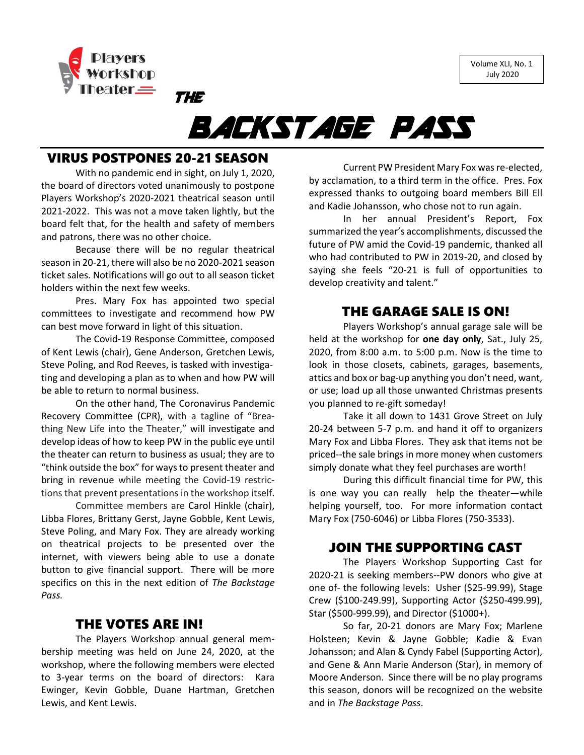Volume XLI, No. 1 July 2020



# BACKSTAGE PASS

### VIRUS POSTPONES 20-21 SEASON

THE

With no pandemic end in sight, on July 1, 2020, the board of directors voted unanimously to postpone Players Workshop's 2020-2021 theatrical season until 2021-2022. This was not a move taken lightly, but the board felt that, for the health and safety of members and patrons, there was no other choice.

Because there will be no regular theatrical season in 20-21, there will also be no 2020-2021 season ticket sales. Notifications will go out to all season ticket holders within the next few weeks.

Pres. Mary Fox has appointed two special committees to investigate and recommend how PW can best move forward in light of this situation.

The Covid-19 Response Committee, composed of Kent Lewis (chair), Gene Anderson, Gretchen Lewis, Steve Poling, and Rod Reeves, is tasked with investigating and developing a plan as to when and how PW will be able to return to normal business.

On the other hand, The Coronavirus Pandemic Recovery Committee (CPR), with a tagline of "Breathing New Life into the Theater," will investigate and develop ideas of how to keep PW in the public eye until the theater can return to business as usual; they are to "think outside the box" for ways to present theater and bring in revenue while meeting the Covid-19 restrictions that prevent presentations in the workshop itself.

Committee members are Carol Hinkle (chair), Libba Flores, Brittany Gerst, Jayne Gobble, Kent Lewis, Steve Poling, and Mary Fox. They are already working on theatrical projects to be presented over the internet, with viewers being able to use a donate button to give financial support. There will be more specifics on this in the next edition of *The Backstage Pass.*

#### THE VOTES ARE IN!

The Players Workshop annual general membership meeting was held on June 24, 2020, at the workshop, where the following members were elected to 3-year terms on the board of directors: Kara Ewinger, Kevin Gobble, Duane Hartman, Gretchen Lewis, and Kent Lewis.

Current PW President Mary Fox was re-elected, by acclamation, to a third term in the office. Pres. Fox expressed thanks to outgoing board members Bill Ell and Kadie Johansson, who chose not to run again.

In her annual President's Report, Fox summarized the year's accomplishments, discussed the future of PW amid the Covid-19 pandemic, thanked all who had contributed to PW in 2019-20, and closed by saying she feels "20-21 is full of opportunities to develop creativity and talent."

#### THE GARAGE SALE IS ON!

Players Workshop's annual garage sale will be held at the workshop for **one day only**, Sat., July 25, 2020, from 8:00 a.m. to 5:00 p.m. Now is the time to look in those closets, cabinets, garages, basements, attics and box or bag-up anything you don't need, want, or use; load up all those unwanted Christmas presents you planned to re-gift someday!

Take it all down to 1431 Grove Street on July 20-24 between 5-7 p.m. and hand it off to organizers Mary Fox and Libba Flores. They ask that items not be priced--the sale brings in more money when customers simply donate what they feel purchases are worth!

During this difficult financial time for PW, this is one way you can really help the theater—while helping yourself, too. For more information contact Mary Fox (750-6046) or Libba Flores (750-3533).

### JOIN THE SUPPORTING CAST

The Players Workshop Supporting Cast for 2020-21 is seeking members--PW donors who give at one of- the following levels: Usher (\$25-99.99), Stage Crew (\$100-249.99), Supporting Actor (\$250-499.99), Star (\$500-999.99), and Director (\$1000+).

So far, 20-21 donors are Mary Fox; Marlene Holsteen; Kevin & Jayne Gobble; Kadie & Evan Johansson; and Alan & Cyndy Fabel (Supporting Actor), and Gene & Ann Marie Anderson (Star), in memory of Moore Anderson. Since there will be no play programs this season, donors will be recognized on the website and in *The Backstage Pass*.